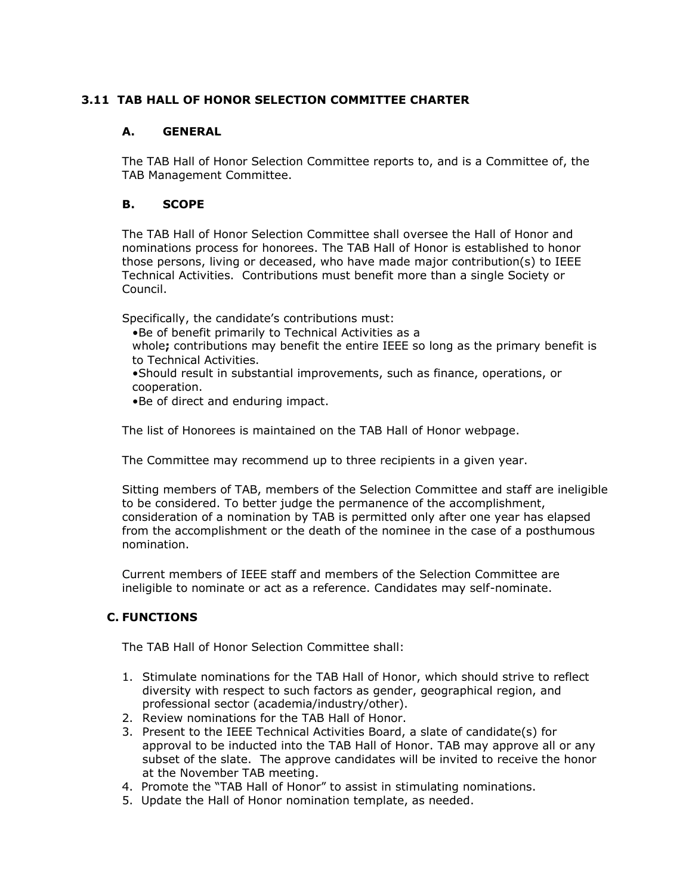# **3.11 TAB HALL OF HONOR SELECTION COMMITTEE CHARTER**

## **A. GENERAL**

The TAB Hall of Honor Selection Committee reports to, and is a Committee of, the TAB Management Committee.

### **B. SCOPE**

The TAB Hall of Honor Selection Committee shall oversee the Hall of Honor and nominations process for honorees. The TAB Hall of Honor is established to honor those persons, living or deceased, who have made major contribution(s) to IEEE Technical Activities. Contributions must benefit more than a single Society or Council.

Specifically, the candidate's contributions must:

•Be of benefit primarily to Technical Activities as a

whole**;** contributions may benefit the entire IEEE so long as the primary benefit is to Technical Activities.

•Should result in substantial improvements, such as finance, operations, or cooperation.

•Be of direct and enduring impact.

The list of Honorees is maintained on the TAB Hall of Honor webpage.

The Committee may recommend up to three recipients in a given year.

Sitting members of TAB, members of the Selection Committee and staff are ineligible to be considered. To better judge the permanence of the accomplishment, consideration of a nomination by TAB is permitted only after one year has elapsed from the accomplishment or the death of the nominee in the case of a posthumous nomination.

Current members of IEEE staff and members of the Selection Committee are ineligible to nominate or act as a reference. Candidates may self-nominate.

## **C. FUNCTIONS**

The TAB Hall of Honor Selection Committee shall:

- 1. Stimulate nominations for the TAB Hall of Honor, which should strive to reflect diversity with respect to such factors as gender, geographical region, and professional sector (academia/industry/other).
- 2. Review nominations for the TAB Hall of Honor.
- 3. Present to the IEEE Technical Activities Board, a slate of candidate(s) for approval to be inducted into the TAB Hall of Honor. TAB may approve all or any subset of the slate. The approve candidates will be invited to receive the honor at the November TAB meeting.
- 4. Promote the "TAB Hall of Honor" to assist in stimulating nominations.
- 5. Update the Hall of Honor nomination template, as needed.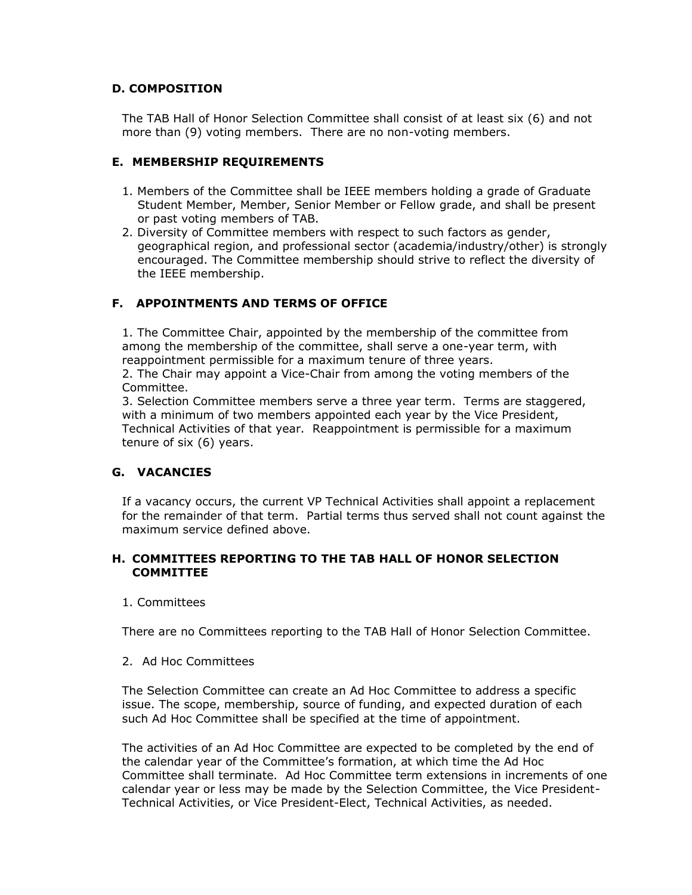# **D. COMPOSITION**

The TAB Hall of Honor Selection Committee shall consist of at least six (6) and not more than (9) voting members. There are no non-voting members.

# **E. MEMBERSHIP REQUIREMENTS**

- 1. Members of the Committee shall be IEEE members holding a grade of Graduate Student Member, Member, Senior Member or Fellow grade, and shall be present or past voting members of TAB.
- 2. Diversity of Committee members with respect to such factors as gender, geographical region, and professional sector (academia/industry/other) is strongly encouraged. The Committee membership should strive to reflect the diversity of the IEEE membership.

## **F. APPOINTMENTS AND TERMS OF OFFICE**

1. The Committee Chair, appointed by the membership of the committee from among the membership of the committee, shall serve a one-year term, with reappointment permissible for a maximum tenure of three years.

2. The Chair may appoint a Vice-Chair from among the voting members of the Committee.

3. Selection Committee members serve a three year term. Terms are staggered, with a minimum of two members appointed each year by the Vice President, Technical Activities of that year. Reappointment is permissible for a maximum tenure of six (6) years.

## **G. VACANCIES**

If a vacancy occurs, the current VP Technical Activities shall appoint a replacement for the remainder of that term. Partial terms thus served shall not count against the maximum service defined above.

### **H. COMMITTEES REPORTING TO THE TAB HALL OF HONOR SELECTION COMMITTEE**

### 1. Committees

There are no Committees reporting to the TAB Hall of Honor Selection Committee.

### 2. Ad Hoc Committees

The Selection Committee can create an Ad Hoc Committee to address a specific issue. The scope, membership, source of funding, and expected duration of each such Ad Hoc Committee shall be specified at the time of appointment.

The activities of an Ad Hoc Committee are expected to be completed by the end of the calendar year of the Committee's formation, at which time the Ad Hoc Committee shall terminate. Ad Hoc Committee term extensions in increments of one calendar year or less may be made by the Selection Committee, the Vice President-Technical Activities, or Vice President-Elect, Technical Activities, as needed.